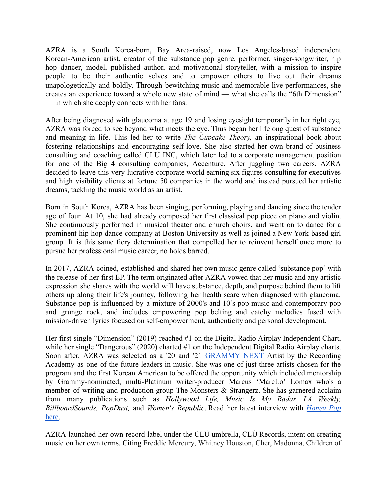AZRA is a South Korea-born, Bay Area-raised, now Los Angeles-based independent Korean-American artist, creator of the substance pop genre, performer, singer-songwriter, hip hop dancer, model, published author, and motivational storyteller, with a mission to inspire people to be their authentic selves and to empower others to live out their dreams unapologetically and boldly. Through bewitching music and memorable live performances, she creates an experience toward a whole new state of mind — what she calls the "6th Dimension" — in which she deeply connects with her fans.

After being diagnosed with glaucoma at age 19 and losing eyesight temporarily in her right eye, AZRA was forced to see beyond what meets the eye. Thus began her lifelong quest of substance and meaning in life. This led her to write *The Cupcake Theory,* an inspirational book about fostering relationships and encouraging self-love. She also started her own brand of business consulting and coaching called CLÚ INC, which later led to a corporate management position for one of the Big 4 consulting companies, Accenture. After juggling two careers, AZRA decided to leave this very lucrative corporate world earning six figures consulting for executives and high visibility clients at fortune 50 companies in the world and instead pursued her artistic dreams, tackling the music world as an artist.

Born in South Korea, AZRA has been singing, performing, playing and dancing since the tender age of four. At 10, she had already composed her first classical pop piece on piano and violin. She continuously performed in musical theater and church choirs, and went on to dance for a prominent hip hop dance company at Boston University as well as joined a New York-based girl group. It is this same fiery determination that compelled her to reinvent herself once more to pursue her professional music career, no holds barred.

In 2017, AZRA coined, established and shared her own music genre called 'substance pop' with the release of her first EP. The term originated after AZRA vowed that her music and any artistic expression she shares with the world will have substance, depth, and purpose behind them to lift others up along their life's journey, following her health scare when diagnosed with glaucoma. Substance pop is influenced by a mixture of 2000's and 10's pop music and contemporary pop and grunge rock, and includes empowering pop belting and catchy melodies fused with mission-driven lyrics focused on self-empowerment, authenticity and personal development.

Her first single "Dimension" (2019) reached #1 on the Digital Radio Airplay Independent Chart, while her single "Dangerous" (2020) charted #1 on the Independent Digital Radio Airplay charts. Soon after, AZRA was selected as a '20 and '21 [GRAMMY](https://www.grammy.com/membership/news/recording-academy-los-angeles-chapter-next-2021-class-participants) NEXT Artist by the Recording Academy as one of the future leaders in music. She was one of just three artists chosen for the program and the first Korean American to be offered the opportunity which included mentorship by Grammy-nominated, multi-Platinum writer-producer Marcus 'MarcLo' Lomax who's a member of writing and production group The Monsters & Strangerz. She has garnered acclaim from many publications such as *Hollywood Life, Music Is My Radar, LA Weekly, BillboardSounds, PopDust,* and *Women's Republic*. Read her latest interview with *[Honey](https://thehoneypop.com/2021/12/11/azra-and-beyond-creating-music-a-thp-exclusive/) Pop* [here.](https://thehoneypop.com/2021/12/11/azra-and-beyond-creating-music-a-thp-exclusive/)

AZRA launched her own record label under the CLÚ umbrella, CLÚ Records, intent on creating music on her own terms. Citing Freddie Mercury, Whitney Houston, Cher, Madonna, Children of